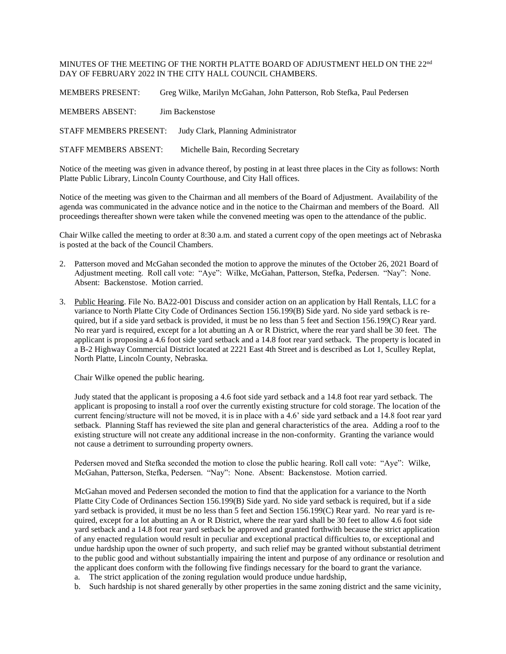MINUTES OF THE MEETING OF THE NORTH PLATTE BOARD OF ADJUSTMENT HELD ON THE  $22^{\mathrm{nd}}$ DAY OF FEBRUARY 2022 IN THE CITY HALL COUNCIL CHAMBERS.

MEMBERS PRESENT: Greg Wilke, Marilyn McGahan, John Patterson, Rob Stefka, Paul Pedersen

MEMBERS ABSENT: Jim Backenstose

STAFF MEMBERS PRESENT: Judy Clark, Planning Administrator

STAFF MEMBERS ABSENT: Michelle Bain, Recording Secretary

Notice of the meeting was given in advance thereof, by posting in at least three places in the City as follows: North Platte Public Library, Lincoln County Courthouse, and City Hall offices.

Notice of the meeting was given to the Chairman and all members of the Board of Adjustment. Availability of the agenda was communicated in the advance notice and in the notice to the Chairman and members of the Board. All proceedings thereafter shown were taken while the convened meeting was open to the attendance of the public.

Chair Wilke called the meeting to order at 8:30 a.m. and stated a current copy of the open meetings act of Nebraska is posted at the back of the Council Chambers.

- 2. Patterson moved and McGahan seconded the motion to approve the minutes of the October 26, 2021 Board of Adjustment meeting. Roll call vote: "Aye": Wilke, McGahan, Patterson, Stefka, Pedersen. "Nay": None. Absent: Backenstose. Motion carried.
- 3. Public Hearing. File No. BA22-001 Discuss and consider action on an application by Hall Rentals, LLC for a variance to North Platte City Code of Ordinances Section 156.199(B) Side yard. No side yard setback is required, but if a side yard setback is provided, it must be no less than 5 feet and Section 156.199(C) Rear yard. No rear yard is required, except for a lot abutting an A or R District, where the rear yard shall be 30 feet. The applicant is proposing a 4.6 foot side yard setback and a 14.8 foot rear yard setback. The property is located in a B-2 Highway Commercial District located at 2221 East 4th Street and is described as Lot 1, Sculley Replat, North Platte, Lincoln County, Nebraska.

Chair Wilke opened the public hearing.

Judy stated that the applicant is proposing a 4.6 foot side yard setback and a 14.8 foot rear yard setback. The applicant is proposing to install a roof over the currently existing structure for cold storage. The location of the current fencing/structure will not be moved, it is in place with a 4.6' side yard setback and a 14.8 foot rear yard setback. Planning Staff has reviewed the site plan and general characteristics of the area. Adding a roof to the existing structure will not create any additional increase in the non-conformity. Granting the variance would not cause a detriment to surrounding property owners.

Pedersen moved and Stefka seconded the motion to close the public hearing. Roll call vote: "Aye": Wilke, McGahan, Patterson, Stefka, Pedersen. "Nay": None. Absent: Backenstose. Motion carried.

McGahan moved and Pedersen seconded the motion to find that the application for a variance to the North Platte City Code of Ordinances Section 156.199(B) Side yard. No side yard setback is required, but if a side yard setback is provided, it must be no less than 5 feet and Section 156.199(C) Rear yard. No rear yard is required, except for a lot abutting an A or R District, where the rear yard shall be 30 feet to allow 4.6 foot side yard setback and a 14.8 foot rear yard setback be approved and granted forthwith because the strict application of any enacted regulation would result in peculiar and exceptional practical difficulties to, or exceptional and undue hardship upon the owner of such property, and such relief may be granted without substantial detriment to the public good and without substantially impairing the intent and purpose of any ordinance or resolution and the applicant does conform with the following five findings necessary for the board to grant the variance.

- a. The strict application of the zoning regulation would produce undue hardship,
- b. Such hardship is not shared generally by other properties in the same zoning district and the same vicinity,